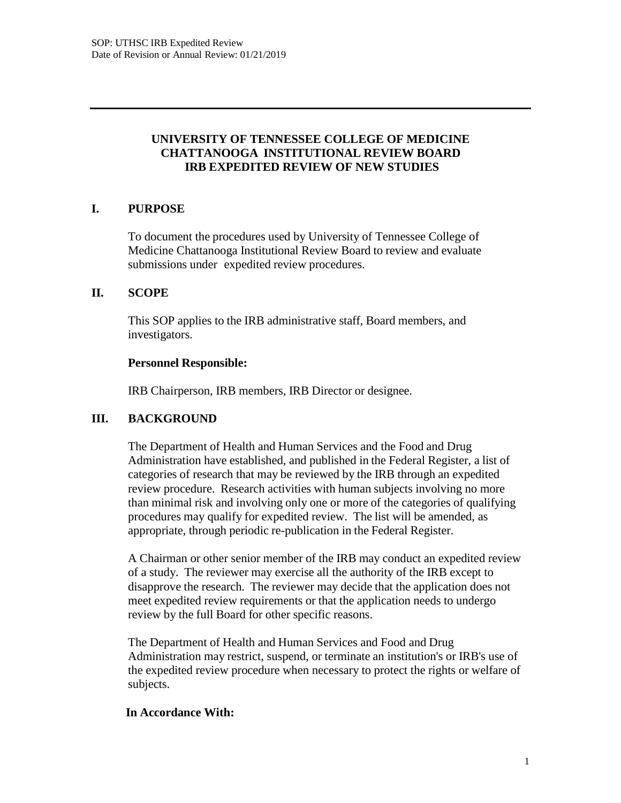### **UNIVERSITY OF TENNESSEE COLLEGE OF MEDICINE CHATTANOOGA INSTITUTIONAL REVIEW BOARD IRB EXPEDITED REVIEW OF NEW STUDIES**

## **I. PURPOSE**

To document the procedures used by University of Tennessee College of Medicine Chattanooga Institutional Review Board to review and evaluate submissions under expedited review procedures.

#### **II. SCOPE**

This SOP applies to the IRB administrative staff, Board members, and investigators.

#### **Personnel Responsible:**

IRB Chairperson, IRB members, IRB Director or designee.

#### **III. BACKGROUND**

The Department of Health and Human Services and the Food and Drug Administration have established, and published in the Federal Register, a list of categories of research that may be reviewed by the IRB through an expedited review procedure. Research activities with human subjects involving no more than minimal risk and involving only one or more of the categories of qualifying procedures may qualify for expedited review. The list will be amended, as appropriate, through periodic re-publication in the Federal Register.

A Chairman or other senior member of the IRB may conduct an expedited review of a study. The reviewer may exercise all the authority of the IRB except to disapprove the research. The reviewer may decide that the application does not meet expedited review requirements or that the application needs to undergo review by the full Board for other specific reasons.

The Department of Health and Human Services and Food and Drug Administration may restrict, suspend, or terminate an institution's or IRB's use of the expedited review procedure when necessary to protect the rights or welfare of subjects.

#### **In Accordance With:**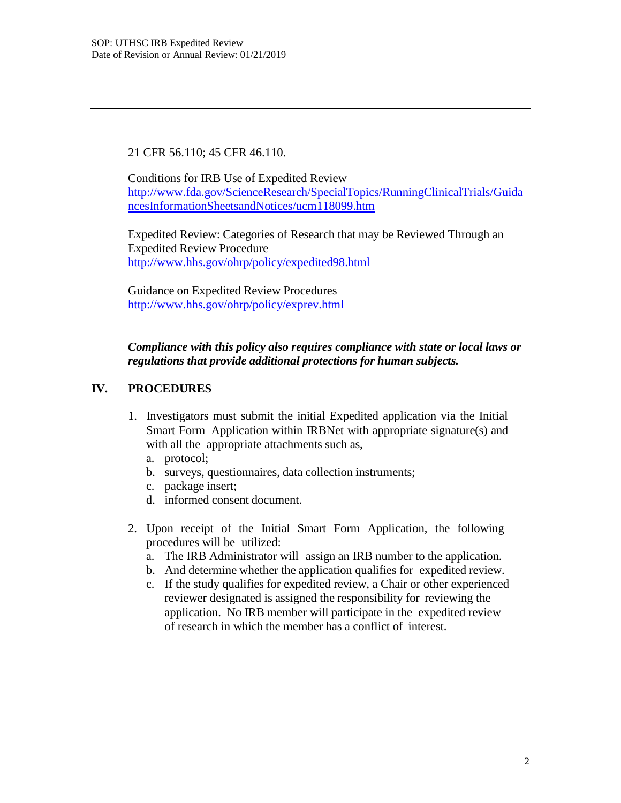21 CFR 56.110; 45 CFR 46.110.

Conditions for IRB Use of Expedited Review <http://www.fda.gov/ScienceResearch/SpecialTopics/RunningClinicalTrials/Guida> ncesInformationSheetsandNotices/ucm118099.htm

Expedited Review: Categories of Research that may be Reviewed Through an Expedited Review Procedure <http://www.hhs.gov/ohrp/policy/expedited98.html>

Guidance on Expedited Review Procedures <http://www.hhs.gov/ohrp/policy/exprev.html>

*Compliance with this policy also requires compliance with state or local laws or regulations that provide additional protections for human subjects.*

# **IV. PROCEDURES**

- 1. Investigators must submit the initial Expedited application via the Initial Smart Form Application within IRBNet with appropriate signature(s) and with all the appropriate attachments such as,
	- a. protocol;
	- b. surveys, questionnaires, data collection instruments;
	- c. package insert;
	- d. informed consent document.
- 2. Upon receipt of the Initial Smart Form Application, the following procedures will be utilized:
	- a. The IRB Administrator will assign an IRB number to the application.
	- b. And determine whether the application qualifies for expedited review.
	- c. If the study qualifies for expedited review, a Chair or other experienced reviewer designated is assigned the responsibility for reviewing the application. No IRB member will participate in the expedited review of research in which the member has a conflict of interest.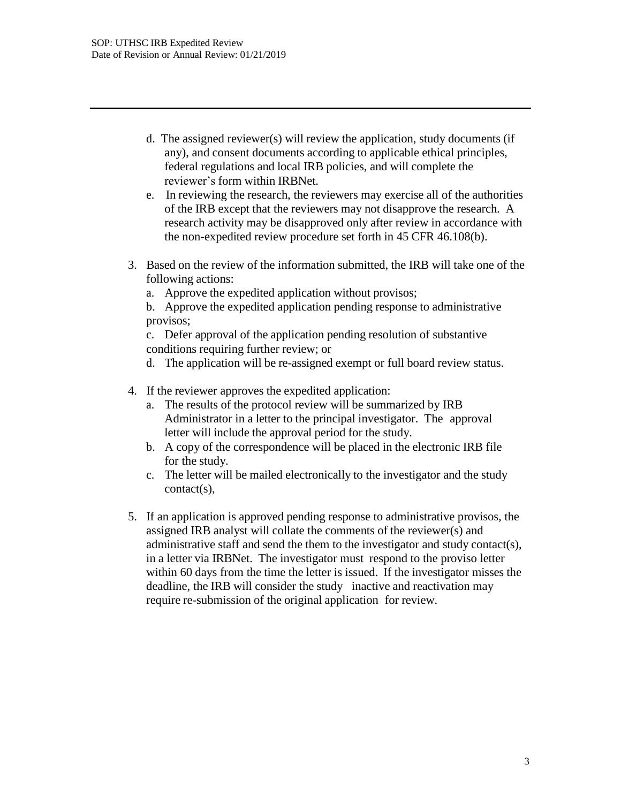- d. The assigned reviewer(s) will review the application, study documents (if any), and consent documents according to applicable ethical principles, federal regulations and local IRB policies, and will complete the reviewer's form within IRBNet.
- e. In reviewing the research, the reviewers may exercise all of the authorities of the IRB except that the reviewers may not disapprove the research. A research activity may be disapproved only after review in accordance with the non-expedited review procedure set forth in 45 CFR 46.108(b).
- 3. Based on the review of the information submitted, the IRB will take one of the following actions:
	- a. Approve the expedited application without provisos;
	- b. Approve the expedited application pending response to administrative provisos;

c. Defer approval of the application pending resolution of substantive conditions requiring further review; or

- d. The application will be re-assigned exempt or full board review status.
- 4. If the reviewer approves the expedited application:
	- a. The results of the protocol review will be summarized by IRB Administrator in a letter to the principal investigator. The approval letter will include the approval period for the study.
	- b. A copy of the correspondence will be placed in the electronic IRB file for the study.
	- c. The letter will be mailed electronically to the investigator and the study contact(s),
- 5. If an application is approved pending response to administrative provisos, the assigned IRB analyst will collate the comments of the reviewer(s) and administrative staff and send the them to the investigator and study contact(s), in a letter via IRBNet. The investigator must respond to the proviso letter within 60 days from the time the letter is issued. If the investigator misses the deadline, the IRB will consider the study inactive and reactivation may require re-submission of the original application for review.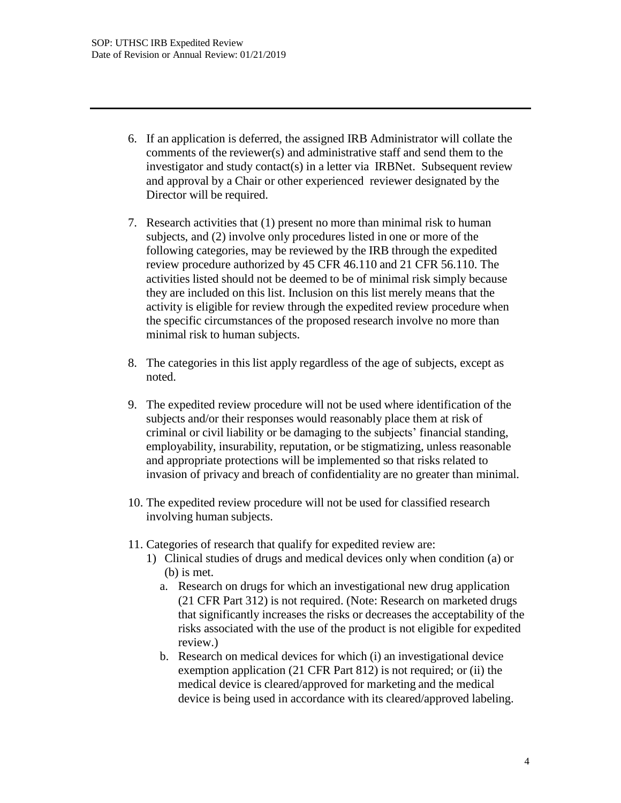- 6. If an application is deferred, the assigned IRB Administrator will collate the comments of the reviewer(s) and administrative staff and send them to the investigator and study contact(s) in a letter via IRBNet. Subsequent review and approval by a Chair or other experienced reviewer designated by the Director will be required.
- 7. Research activities that (1) present no more than minimal risk to human subjects, and (2) involve only procedures listed in one or more of the following categories, may be reviewed by the IRB through the expedited review procedure authorized by 45 CFR 46.110 and 21 CFR 56.110. The activities listed should not be deemed to be of minimal risk simply because they are included on this list. Inclusion on this list merely means that the activity is eligible for review through the expedited review procedure when the specific circumstances of the proposed research involve no more than minimal risk to human subjects.
- 8. The categories in this list apply regardless of the age of subjects, except as noted.
- 9. The expedited review procedure will not be used where identification of the subjects and/or their responses would reasonably place them at risk of criminal or civil liability or be damaging to the subjects' financial standing, employability, insurability, reputation, or be stigmatizing, unless reasonable and appropriate protections will be implemented so that risks related to invasion of privacy and breach of confidentiality are no greater than minimal.
- 10. The expedited review procedure will not be used for classified research involving human subjects.
- 11. Categories of research that qualify for expedited review are:
	- 1) Clinical studies of drugs and medical devices only when condition (a) or (b) is met.
		- a. Research on drugs for which an investigational new drug application (21 CFR Part 312) is not required. (Note: Research on marketed drugs that significantly increases the risks or decreases the acceptability of the risks associated with the use of the product is not eligible for expedited review.)
		- b. Research on medical devices for which (i) an investigational device exemption application (21 CFR Part 812) is not required; or (ii) the medical device is cleared/approved for marketing and the medical device is being used in accordance with its cleared/approved labeling.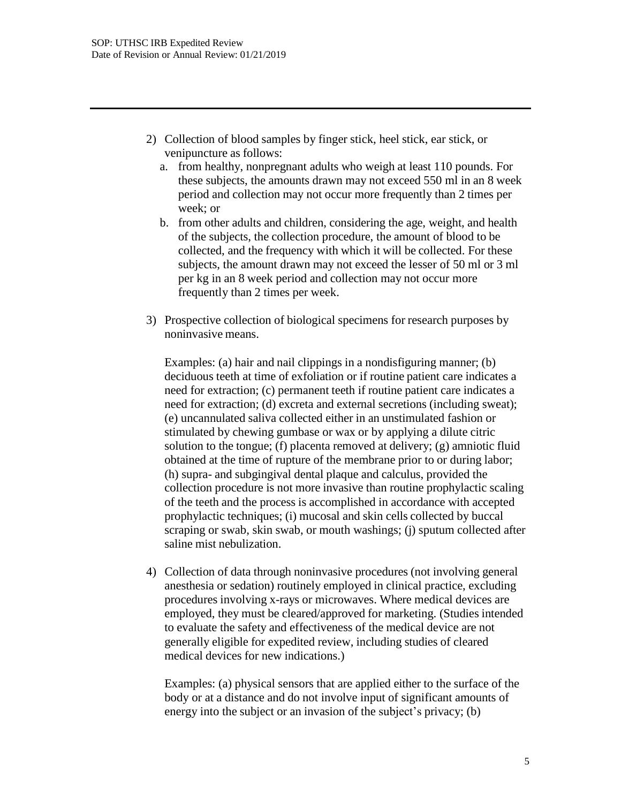- 2) Collection of blood samples by finger stick, heel stick, ear stick, or venipuncture as follows:
	- a. from healthy, nonpregnant adults who weigh at least 110 pounds. For these subjects, the amounts drawn may not exceed 550 ml in an 8 week period and collection may not occur more frequently than 2 times per week; or
	- b. from other adults and children, considering the age, weight, and health of the subjects, the collection procedure, the amount of blood to be collected, and the frequency with which it will be collected. For these subjects, the amount drawn may not exceed the lesser of 50 ml or 3 ml per kg in an 8 week period and collection may not occur more frequently than 2 times per week.
- 3) Prospective collection of biological specimens for research purposes by noninvasive means.

Examples: (a) hair and nail clippings in a nondisfiguring manner; (b) deciduous teeth at time of exfoliation or if routine patient care indicates a need for extraction; (c) permanent teeth if routine patient care indicates a need for extraction; (d) excreta and external secretions (including sweat); (e) uncannulated saliva collected either in an unstimulated fashion or stimulated by chewing gumbase or wax or by applying a dilute citric solution to the tongue; (f) placenta removed at delivery; (g) amniotic fluid obtained at the time of rupture of the membrane prior to or during labor; (h) supra- and subgingival dental plaque and calculus, provided the collection procedure is not more invasive than routine prophylactic scaling of the teeth and the process is accomplished in accordance with accepted prophylactic techniques; (i) mucosal and skin cells collected by buccal scraping or swab, skin swab, or mouth washings; (j) sputum collected after saline mist nebulization.

4) Collection of data through noninvasive procedures (not involving general anesthesia or sedation) routinely employed in clinical practice, excluding procedures involving x-rays or microwaves. Where medical devices are employed, they must be cleared/approved for marketing. (Studies intended to evaluate the safety and effectiveness of the medical device are not generally eligible for expedited review, including studies of cleared medical devices for new indications.)

Examples: (a) physical sensors that are applied either to the surface of the body or at a distance and do not involve input of significant amounts of energy into the subject or an invasion of the subject's privacy; (b)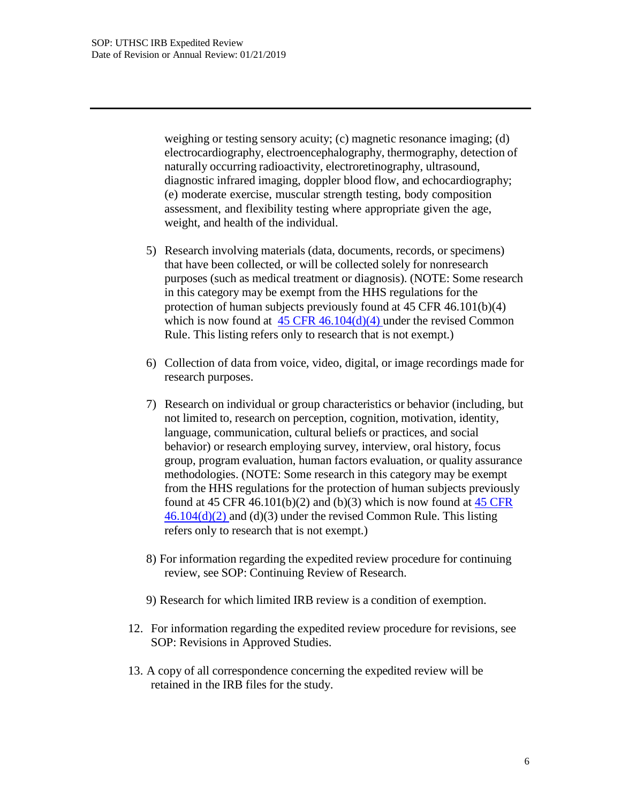weighing or testing sensory acuity; (c) magnetic resonance imaging; (d) electrocardiography, electroencephalography, thermography, detection of naturally occurring radioactivity, electroretinography, ultrasound, diagnostic infrared imaging, doppler blood flow, and echocardiography; (e) moderate exercise, muscular strength testing, body composition assessment, and flexibility testing where appropriate given the age, weight, and health of the individual.

- 5) Research involving materials (data, documents, records, or specimens) that have been collected, or will be collected solely for nonresearch purposes (such as medical treatment or diagnosis). (NOTE: Some research in this category may be exempt from the HHS regulations for the protection of human subjects previously found at 45 CFR 46.101(b)(4) which is now found at  $45 \text{ CFR } 46.104\text{ (d)}(4)$  under the revised Common Rule. This listing refers only to research that is not exempt.)
- 6) Collection of data from voice, video, digital, or image recordings made for research purposes.
- 7) Research on individual or group characteristics or behavior (including, but not limited to, research on perception, cognition, motivation, identity, language, communication, cultural beliefs or practices, and social behavior) or research employing survey, interview, oral history, focus group, program evaluation, human factors evaluation, or quality assurance methodologies. (NOTE: Some research in this category may be exempt from the HHS regulations for the protection of human subjects previously found at 45 CFR 46.101(b)(2) and (b)(3) which is now found at  $45$  CFR  $46.104(d)(2)$  and (d)(3) under the revised Common Rule. This listing refers only to research that is not exempt.)
- 8) For information regarding the expedited review procedure for continuing review, see SOP: Continuing Review of Research.
- 9) Research for which limited IRB review is a condition of exemption.
- 12. For information regarding the expedited review procedure for revisions, see SOP: Revisions in Approved Studies.
- 13. A copy of all correspondence concerning the expedited review will be retained in the IRB files for the study.